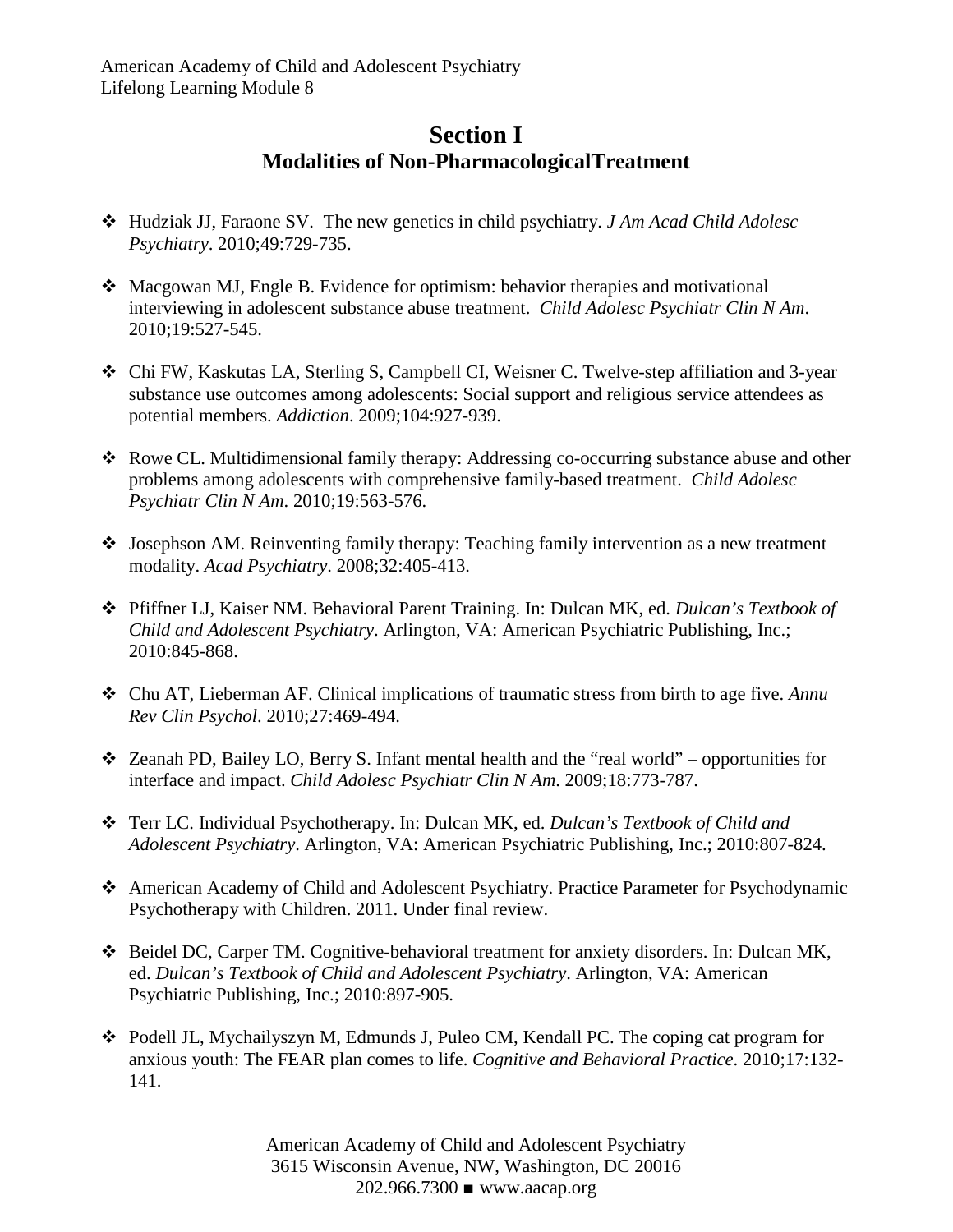## **Section I Modalities of Non-PharmacologicalTreatment**

- Hudziak JJ, Faraone SV. The new genetics in child psychiatry. *J Am Acad Child Adolesc Psychiatry*. 2010;49:729-735.
- Macgowan MJ, Engle B. Evidence for optimism: behavior therapies and motivational interviewing in adolescent substance abuse treatment. *Child Adolesc Psychiatr Clin N Am*. 2010;19:527-545.
- Chi FW, Kaskutas LA, Sterling S, Campbell CI, Weisner C. Twelve-step affiliation and 3-year substance use outcomes among adolescents: Social support and religious service attendees as potential members. *Addiction*. 2009;104:927-939.
- Rowe CL. Multidimensional family therapy: Addressing co-occurring substance abuse and other problems among adolescents with comprehensive family-based treatment. *Child Adolesc Psychiatr Clin N Am*. 2010;19:563-576.
- Josephson AM. Reinventing family therapy: Teaching family intervention as a new treatment modality. *Acad Psychiatry*. 2008;32:405-413.
- Pfiffner LJ, Kaiser NM. Behavioral Parent Training. In: Dulcan MK, ed. *Dulcan's Textbook of Child and Adolescent Psychiatry*. Arlington, VA: American Psychiatric Publishing, Inc.; 2010:845-868.
- Chu AT, Lieberman AF. Clinical implications of traumatic stress from birth to age five. *Annu Rev Clin Psychol*. 2010;27:469-494.
- $\triangleleft$  Zeanah PD, Bailey LO, Berry S. Infant mental health and the "real world" opportunities for interface and impact. *Child Adolesc Psychiatr Clin N Am*. 2009;18:773-787.
- Terr LC. Individual Psychotherapy. In: Dulcan MK, ed. *Dulcan's Textbook of Child and Adolescent Psychiatry*. Arlington, VA: American Psychiatric Publishing, Inc.; 2010:807-824.
- American Academy of Child and Adolescent Psychiatry. Practice Parameter for Psychodynamic Psychotherapy with Children. 2011. Under final review.
- Beidel DC, Carper TM. Cognitive-behavioral treatment for anxiety disorders. In: Dulcan MK, ed. *Dulcan's Textbook of Child and Adolescent Psychiatry*. Arlington, VA: American Psychiatric Publishing, Inc.; 2010:897-905.
- Podell JL, Mychailyszyn M, Edmunds J, Puleo CM, Kendall PC. The coping cat program for anxious youth: The FEAR plan comes to life. *Cognitive and Behavioral Practice*. 2010;17:132- 141.

American Academy of Child and Adolescent Psychiatry 3615 Wisconsin Avenue, NW, Washington, DC 20016 202.966.7300 ■ www.aacap.org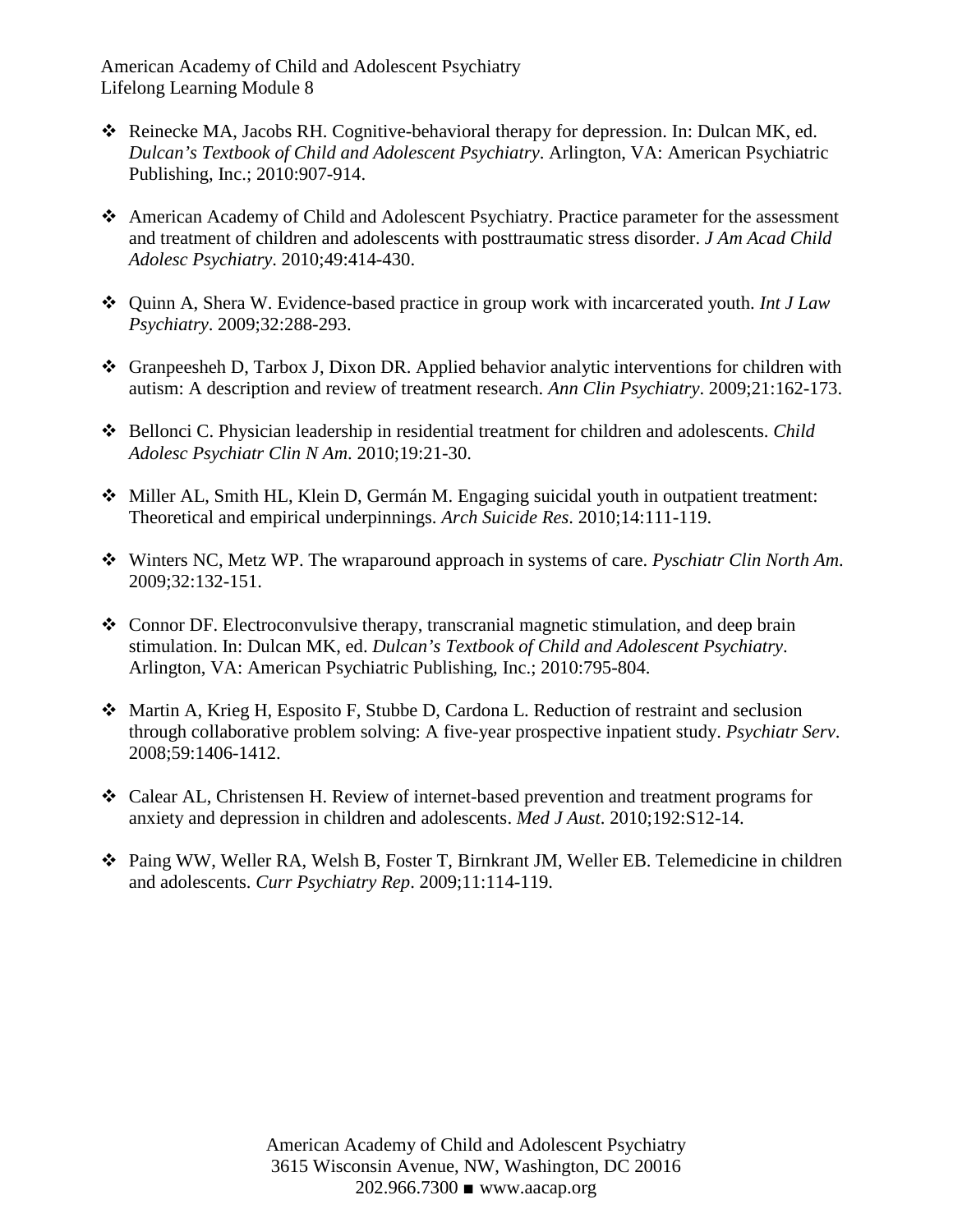American Academy of Child and Adolescent Psychiatry Lifelong Learning Module 8

- Reinecke MA, Jacobs RH. Cognitive-behavioral therapy for depression. In: Dulcan MK, ed. *Dulcan's Textbook of Child and Adolescent Psychiatry*. Arlington, VA: American Psychiatric Publishing, Inc.; 2010:907-914.
- American Academy of Child and Adolescent Psychiatry. Practice parameter for the assessment and treatment of children and adolescents with posttraumatic stress disorder. *J Am Acad Child Adolesc Psychiatry*. 2010;49:414-430.
- Quinn A, Shera W. Evidence-based practice in group work with incarcerated youth. *Int J Law Psychiatry*. 2009;32:288-293.
- Granpeesheh D, Tarbox J, Dixon DR. Applied behavior analytic interventions for children with autism: A description and review of treatment research. *Ann Clin Psychiatry*. 2009;21:162-173.
- Bellonci C. Physician leadership in residential treatment for children and adolescents. *Child Adolesc Psychiatr Clin N Am*. 2010;19:21-30.
- Miller AL, Smith HL, Klein D, Germán M. Engaging suicidal youth in outpatient treatment: Theoretical and empirical underpinnings. *Arch Suicide Res*. 2010;14:111-119.
- Winters NC, Metz WP. The wraparound approach in systems of care. *Pyschiatr Clin North Am*. 2009;32:132-151.
- Connor DF. Electroconvulsive therapy, transcranial magnetic stimulation, and deep brain stimulation. In: Dulcan MK, ed. *Dulcan's Textbook of Child and Adolescent Psychiatry*. Arlington, VA: American Psychiatric Publishing, Inc.; 2010:795-804.
- Martin A, Krieg H, Esposito F, Stubbe D, Cardona L. Reduction of restraint and seclusion through collaborative problem solving: A five-year prospective inpatient study. *Psychiatr Serv*. 2008;59:1406-1412.
- Calear AL, Christensen H. Review of internet-based prevention and treatment programs for anxiety and depression in children and adolescents. *Med J Aust*. 2010;192:S12-14.
- Paing WW, Weller RA, Welsh B, Foster T, Birnkrant JM, Weller EB. Telemedicine in children and adolescents. *Curr Psychiatry Rep*. 2009;11:114-119.